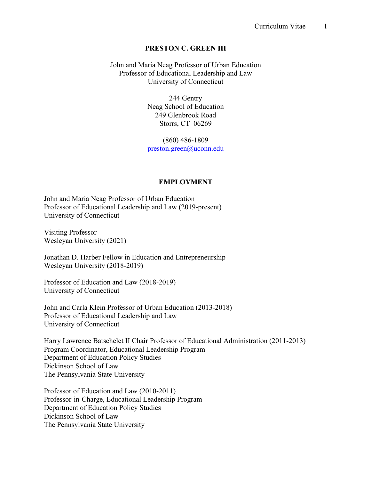### **PRESTON C. GREEN III**

John and Maria Neag Professor of Urban Education Professor of Educational Leadership and Law University of Connecticut

> 244 Gentry Neag School of Education 249 Glenbrook Road Storrs, CT 06269

> (860) 486-1809 preston.green@uconn.edu

#### **EMPLOYMENT**

John and Maria Neag Professor of Urban Education Professor of Educational Leadership and Law (2019-present) University of Connecticut

Visiting Professor Wesleyan University (2021)

Jonathan D. Harber Fellow in Education and Entrepreneurship Wesleyan University (2018-2019)

Professor of Education and Law (2018-2019) University of Connecticut

John and Carla Klein Professor of Urban Education (2013-2018) Professor of Educational Leadership and Law University of Connecticut

Harry Lawrence Batschelet II Chair Professor of Educational Administration (2011-2013) Program Coordinator, Educational Leadership Program Department of Education Policy Studies Dickinson School of Law The Pennsylvania State University

Professor of Education and Law (2010-2011) Professor-in-Charge, Educational Leadership Program Department of Education Policy Studies Dickinson School of Law The Pennsylvania State University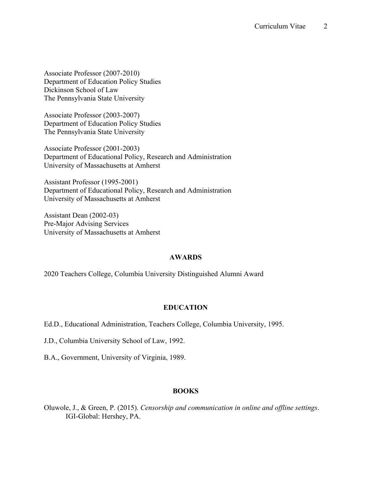Associate Professor (2007-2010) Department of Education Policy Studies Dickinson School of Law The Pennsylvania State University

Associate Professor (2003-2007) Department of Education Policy Studies The Pennsylvania State University

Associate Professor (2001-2003) Department of Educational Policy, Research and Administration University of Massachusetts at Amherst

Assistant Professor (1995-2001) Department of Educational Policy, Research and Administration University of Massachusetts at Amherst

Assistant Dean (2002-03) Pre-Major Advising Services University of Massachusetts at Amherst

# **AWARDS**

2020 Teachers College, Columbia University Distinguished Alumni Award

# **EDUCATION**

Ed.D., Educational Administration, Teachers College, Columbia University, 1995.

J.D., Columbia University School of Law, 1992.

B.A., Government, University of Virginia, 1989.

# **BOOKS**

Oluwole, J., & Green, P. (2015). *Censorship and communication in online and offline settings*. IGI-Global: Hershey, PA.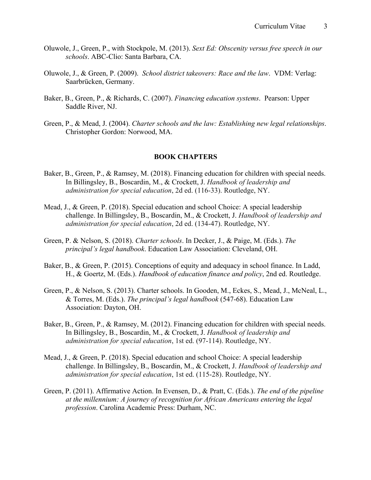- Oluwole, J., Green, P., with Stockpole, M. (2013). *Sext Ed: Obscenity versus free speech in our schools*. ABC-Clio: Santa Barbara, CA.
- Oluwole, J., & Green, P. (2009). *School district takeovers: Race and the law*. VDM: Verlag: Saarbrücken, Germany.
- Baker, B., Green, P., & Richards, C. (2007). *Financing education systems*. Pearson: Upper Saddle River, NJ.
- Green, P., & Mead, J. (2004). *Charter schools and the law: Establishing new legal relationships*. Christopher Gordon: Norwood, MA.

## **BOOK CHAPTERS**

- Baker, B., Green, P., & Ramsey, M. (2018). Financing education for children with special needs. In Billingsley, B., Boscardin, M., & Crockett, J. *Handbook of leadership and administration for special education*, 2d ed. (116-33). Routledge, NY.
- Mead, J., & Green, P. (2018). Special education and school Choice: A special leadership challenge. In Billingsley, B., Boscardin, M., & Crockett, J. *Handbook of leadership and administration for special education*, 2d ed. (134-47). Routledge, NY.
- Green, P. & Nelson, S. (2018). *Charter schools*. In Decker, J., & Paige, M. (Eds.). *The principal's legal handbook*. Education Law Association: Cleveland, OH.
- Baker, B., & Green, P. (2015). Conceptions of equity and adequacy in school finance. In Ladd, H., & Goertz, M. (Eds.). *Handbook of education finance and policy*, 2nd ed. Routledge.
- Green, P., & Nelson, S. (2013). Charter schools. In Gooden, M., Eckes, S., Mead, J., McNeal, L., & Torres, M. (Eds.). *The principal's legal handbook* (547-68). Education Law Association: Dayton, OH.
- Baker, B., Green, P., & Ramsey, M. (2012). Financing education for children with special needs. In Billingsley, B., Boscardin, M., & Crockett, J. *Handbook of leadership and administration for special education*, 1st ed. (97-114). Routledge, NY.
- Mead, J., & Green, P. (2018). Special education and school Choice: A special leadership challenge. In Billingsley, B., Boscardin, M., & Crockett, J. *Handbook of leadership and administration for special education*, 1st ed. (115-28). Routledge, NY.
- Green, P. (2011). Affirmative Action. In Evensen, D., & Pratt, C. (Eds.). *The end of the pipeline at the millennium: A journey of recognition for African Americans entering the legal profession*. Carolina Academic Press: Durham, NC.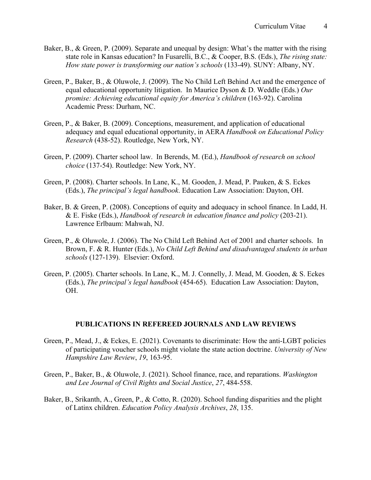- Baker, B., & Green, P. (2009). Separate and unequal by design: What's the matter with the rising state role in Kansas education? In Fusarelli, B.C., & Cooper, B.S. (Eds.), *The rising state: How state power is transforming our nation's schools* (133-49). SUNY: Albany, NY.
- Green, P., Baker, B., & Oluwole, J. (2009). The No Child Left Behind Act and the emergence of equal educational opportunity litigation. In Maurice Dyson & D. Weddle (Eds.) *Our promise: Achieving educational equity for America's children* (163-92). Carolina Academic Press: Durham, NC.
- Green, P., & Baker, B. (2009). Conceptions, measurement, and application of educational adequacy and equal educational opportunity, in AERA *Handbook on Educational Policy Research* (438-52). Routledge, New York, NY.
- Green, P. (2009). Charter school law. In Berends, M. (Ed.), *Handbook of research on school choice* (137-54). Routledge: New York, NY.
- Green, P. (2008). Charter schools. In Lane, K., M. Gooden, J. Mead, P. Pauken, & S. Eckes (Eds.), *The principal's legal handbook*. Education Law Association: Dayton, OH.
- Baker, B. & Green, P. (2008). Conceptions of equity and adequacy in school finance. In Ladd, H. & E. Fiske (Eds.), *Handbook of research in education finance and policy* (203-21). Lawrence Erlbaum: Mahwah, NJ.
- Green, P., & Oluwole, J. (2006). The No Child Left Behind Act of 2001 and charter schools. In Brown, F. & R. Hunter (Eds.), *No Child Left Behind and disadvantaged students in urban schools* (127-139). Elsevier: Oxford.
- Green, P. (2005). Charter schools. In Lane, K., M. J. Connelly, J. Mead, M. Gooden, & S. Eckes (Eds.), *The principal's legal handbook* (454-65). Education Law Association: Dayton, OH.

### **PUBLICATIONS IN REFEREED JOURNALS AND LAW REVIEWS**

- Green, P., Mead, J., & Eckes, E. (2021). Covenants to discriminate: How the anti-LGBT policies of participating voucher schools might violate the state action doctrine. *University of New Hampshire Law Review*, *19*, 163-95.
- Green, P., Baker, B., & Oluwole, J. (2021). School finance, race, and reparations. *Washington and Lee Journal of Civil Rights and Social Justice*, *27*, 484-558.
- Baker, B., Srikanth, A., Green, P., & Cotto, R. (2020). School funding disparities and the plight of Latinx children. *Education Policy Analysis Archives*, *28*, 135.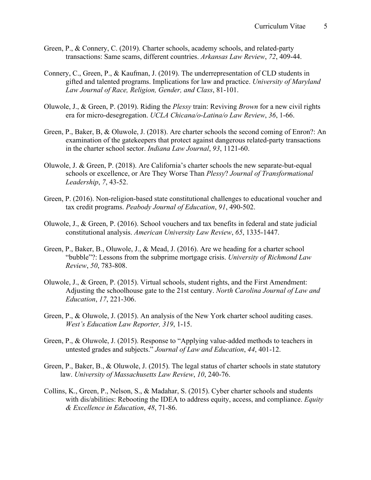- Green, P., & Connery, C. (2019). Charter schools, academy schools, and related-party transactions: Same scams, different countries. *Arkansas Law Review*, *72*, 409-44.
- Connery, C., Green, P., & Kaufman, J. (2019). The underrepresentation of CLD students in gifted and talented programs. Implications for law and practice. *University of Maryland Law Journal of Race, Religion, Gender, and Class*, 81-101.
- Oluwole, J., & Green, P. (2019). Riding the *Plessy* train: Reviving *Brown* for a new civil rights era for micro-desegregation. *UCLA Chicana/o-Latina/o Law Review*, *36*, 1-66.
- Green, P., Baker, B, & Oluwole, J. (2018). Are charter schools the second coming of Enron?: An examination of the gatekeepers that protect against dangerous related-party transactions in the charter school sector. *Indiana Law Journal*, *93*, 1121-60.
- Oluwole, J. & Green, P. (2018). Are California's charter schools the new separate-but-equal schools or excellence, or Are They Worse Than *Plessy*? *Journal of Transformational Leadership*, *7*, 43-52.
- Green, P. (2016). Non-religion-based state constitutional challenges to educational voucher and tax credit programs. *Peabody Journal of Education*, *91*, 490-502.
- Oluwole, J., & Green, P. (2016). School vouchers and tax benefits in federal and state judicial constitutional analysis. *American University Law Review*, *65*, 1335-1447.
- Green, P., Baker, B., Oluwole, J., & Mead, J. (2016). Are we heading for a charter school "bubble"?: Lessons from the subprime mortgage crisis. *University of Richmond Law Review*, *50*, 783-808.
- Oluwole, J., & Green, P. (2015). Virtual schools, student rights, and the First Amendment: Adjusting the schoolhouse gate to the 21st century. *North Carolina Journal of Law and Education*, *17*, 221-306.
- Green, P., & Oluwole, J. (2015). An analysis of the New York charter school auditing cases. *West's Education Law Reporter, 319*, 1-15.
- Green, P., & Oluwole, J. (2015). Response to "Applying value-added methods to teachers in untested grades and subjects." *Journal of Law and Education*, *44*, 401-12.
- Green, P., Baker, B., & Oluwole, J. (2015). The legal status of charter schools in state statutory law. *University of Massachusetts Law Review*, *10*, 240-76.
- Collins, K., Green, P., Nelson, S., & Madahar, S. (2015). Cyber charter schools and students with dis/abilities: Rebooting the IDEA to address equity, access, and compliance. *Equity & Excellence in Education*, *48*, 71-86.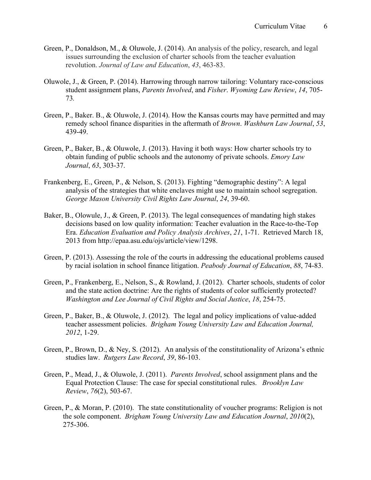- Green, P., Donaldson, M., & Oluwole, J. (2014). An analysis of the policy, research, and legal issues surrounding the exclusion of charter schools from the teacher evaluation revolution. *Journal of Law and Education*, *43*, 463-83.
- Oluwole, J., & Green, P. (2014). Harrowing through narrow tailoring: Voluntary race-conscious student assignment plans, *Parents Involved*, and *Fisher*. *Wyoming Law Review*, *14*, 705- 73*.*
- Green, P., Baker. B., & Oluwole, J. (2014). How the Kansas courts may have permitted and may remedy school finance disparities in the aftermath of *Brown*. *Washburn Law Journal*, *53*, 439-49.
- Green, P., Baker, B., & Oluwole, J. (2013). Having it both ways: How charter schools try to obtain funding of public schools and the autonomy of private schools. *Emory Law Journal*, *63*, 303-37.
- Frankenberg, E., Green, P., & Nelson, S. (2013). Fighting "demographic destiny": A legal analysis of the strategies that white enclaves might use to maintain school segregation. *George Mason University Civil Rights Law Journal*, *24*, 39-60.
- Baker, B., Olowule, J., & Green, P. (2013). The legal consequences of mandating high stakes decisions based on low quality information: Teacher evaluation in the Race-to-the-Top Era. *Education Evaluation and Policy Analysis Archives*, *21*, 1-71. Retrieved March 18, 2013 from http://epaa.asu.edu/ojs/article/view/1298.
- Green, P. (2013). Assessing the role of the courts in addressing the educational problems caused by racial isolation in school finance litigation. *Peabody Journal of Education*, *88*, 74-83.
- Green, P., Frankenberg, E., Nelson, S., & Rowland, J. (2012). Charter schools, students of color and the state action doctrine: Are the rights of students of color sufficiently protected? *Washington and Lee Journal of Civil Rights and Social Justice*, *18*, 254-75.
- Green, P., Baker, B., & Oluwole, J. (2012). The legal and policy implications of value-added teacher assessment policies. *Brigham Young University Law and Education Journal, 2012*, 1-29.
- Green, P., Brown, D., & Ney, S. (2012). An analysis of the constitutionality of Arizona's ethnic studies law. *Rutgers Law Record*, *39*, 86-103.
- Green, P., Mead, J., & Oluwole, J. (2011). *Parents Involved*, school assignment plans and the Equal Protection Clause: The case for special constitutional rules. *Brooklyn Law Review*, *76*(2), 503-67.
- Green, P., & Moran, P. (2010). The state constitutionality of voucher programs: Religion is not the sole component. *Brigham Young University Law and Education Journal*, *2010*(2), 275-306.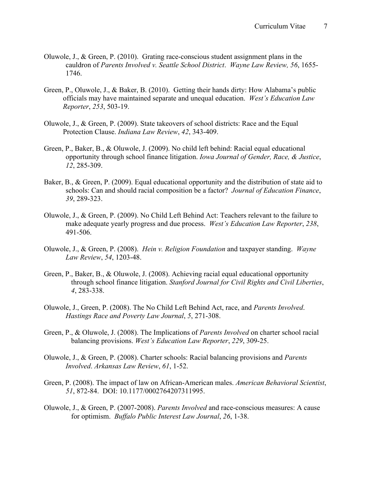- Oluwole, J., & Green, P. (2010). Grating race-conscious student assignment plans in the cauldron of *Parents Involved v. Seattle School District*. *Wayne Law Review, 56*, 1655- 1746.
- Green, P., Oluwole, J., & Baker, B. (2010). Getting their hands dirty: How Alabama's public officials may have maintained separate and unequal education. *West's Education Law Reporter*, *253*, 503-19.
- Oluwole, J., & Green, P. (2009). State takeovers of school districts: Race and the Equal Protection Clause. *Indiana Law Review*, *42*, 343-409.
- Green, P., Baker, B., & Oluwole, J. (2009). No child left behind: Racial equal educational opportunity through school finance litigation. *Iowa Journal of Gender, Race, & Justice*, *12*, 285-309.
- Baker, B., & Green, P. (2009). Equal educational opportunity and the distribution of state aid to schools: Can and should racial composition be a factor? *Journal of Education Finance*, *39*, 289-323.
- Oluwole, J., & Green, P. (2009). No Child Left Behind Act: Teachers relevant to the failure to make adequate yearly progress and due process. *West's Education Law Reporter*, *238*, 491-506.
- Oluwole, J., & Green, P. (2008). *Hein v. Religion Foundation* and taxpayer standing. *Wayne Law Review*, *54*, 1203-48.
- Green, P., Baker, B., & Oluwole, J. (2008). Achieving racial equal educational opportunity through school finance litigation. *Stanford Journal for Civil Rights and Civil Liberties*, *4*, 283-338.
- Oluwole, J., Green, P. (2008). The No Child Left Behind Act, race, and *Parents Involved*. *Hastings Race and Poverty Law Journal*, *5*, 271-308.
- Green, P., & Oluwole, J. (2008). The Implications of *Parents Involved* on charter school racial balancing provisions. *West's Education Law Reporter*, *229*, 309-25.
- Oluwole, J., & Green, P. (2008). Charter schools: Racial balancing provisions and *Parents Involved*. *Arkansas Law Review*, *61*, 1-52.
- Green, P. (2008). The impact of law on African-American males. *American Behavioral Scientist*, *51*, 872-84. DOI: 10.1177/0002764207311995.
- Oluwole, J., & Green, P. (2007-2008). *Parents Involved* and race-conscious measures: A cause for optimism. *Buffalo Public Interest Law Journal*, *26*, 1-38.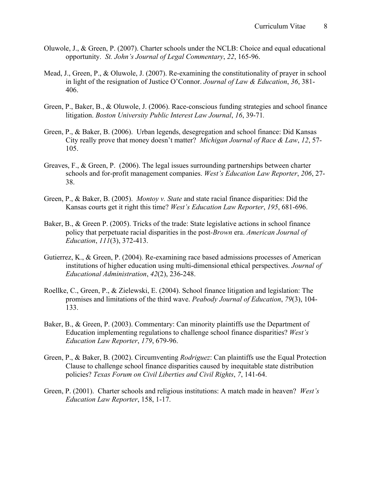- Oluwole, J., & Green, P. (2007). Charter schools under the NCLB: Choice and equal educational opportunity. *St. John's Journal of Legal Commentary*, *22*, 165-96.
- Mead, J., Green, P., & Oluwole, J. (2007). Re-examining the constitutionality of prayer in school in light of the resignation of Justice O'Connor. *Journal of Law & Education*, *36*, 381- 406.
- Green, P., Baker, B., & Oluwole, J. (2006). Race-conscious funding strategies and school finance litigation. *Boston University Public Interest Law Journal*, *16*, 39-71*.*
- Green, P., & Baker, B. (2006). Urban legends, desegregation and school finance: Did Kansas City really prove that money doesn't matter? *Michigan Journal of Race & Law*, *12*, 57- 105.
- Greaves, F., & Green, P. (2006). The legal issues surrounding partnerships between charter schools and for-profit management companies. *West's Education Law Reporter*, *206*, 27- 38.
- Green, P., & Baker, B. (2005). *Montoy v. State* and state racial finance disparities: Did the Kansas courts get it right this time? *West's Education Law Reporter*, *195*, 681-696.
- Baker, B., & Green P. (2005). Tricks of the trade: State legislative actions in school finance policy that perpetuate racial disparities in the post*-Brown* era. *American Journal of Education*, *111*(3), 372-413.
- Gutierrez, K., & Green, P. (2004). Re-examining race based admissions processes of American institutions of higher education using multi-dimensional ethical perspectives. *Journal of Educational Administration*, *42*(2), 236-248.
- Roellke, C., Green, P., & Zielewski, E. (2004). School finance litigation and legislation: The promises and limitations of the third wave. *Peabody Journal of Education*, *79*(3), 104- 133.
- Baker, B., & Green, P. (2003). Commentary: Can minority plaintiffs use the Department of Education implementing regulations to challenge school finance disparities? *West's Education Law Reporter*, *179*, 679-96.
- Green, P., & Baker, B. (2002). Circumventing *Rodriguez*: Can plaintiffs use the Equal Protection Clause to challenge school finance disparities caused by inequitable state distribution policies? *Texas Forum on Civil Liberties and Civil Rights*, *7*, 141-64.
- Green, P. (2001). Charter schools and religious institutions: A match made in heaven? *West's Education Law Reporter*, 158, 1-17.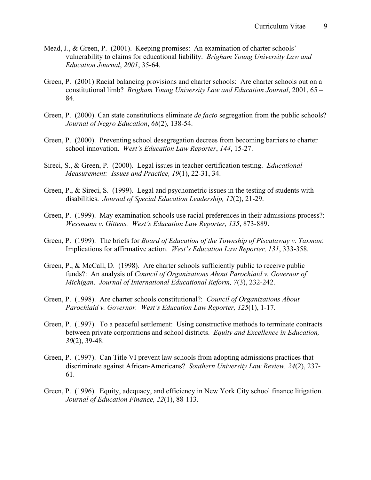- Mead, J., & Green, P. (2001). Keeping promises: An examination of charter schools' vulnerability to claims for educational liability. *Brigham Young University Law and Education Journal*, *2001*, 35-64.
- Green, P. (2001) Racial balancing provisions and charter schools: Are charter schools out on a constitutional limb? *Brigham Young University Law and Education Journal*, 2001, 65 – 84.
- Green, P. (2000). Can state constitutions eliminate *de facto* segregation from the public schools? *Journal of Negro Education*, *68*(2), 138-54.
- Green, P. (2000). Preventing school desegregation decrees from becoming barriers to charter school innovation. *West's Education Law Reporter*, *144*, 15-27.
- Sireci, S., & Green, P. (2000). Legal issues in teacher certification testing. *Educational Measurement: Issues and Practice, 19*(1), 22-31, 34.
- Green, P., & Sireci, S. (1999). Legal and psychometric issues in the testing of students with disabilities. *Journal of Special Education Leadership, 12*(2), 21-29.
- Green, P. (1999). May examination schools use racial preferences in their admissions process?: *Wessmann v. Gittens. West's Education Law Reporter, 135*, 873-889.
- Green, P. (1999). The briefs for *Board of Education of the Township of Piscataway v. Taxman*: Implications for affirmative action. *West's Education Law Reporter, 131*, 333-358.
- Green, P., & McCall, D. (1998). Are charter schools sufficiently public to receive public funds?: An analysis of *Council of Organizations About Parochiaid v. Governor of Michigan*. *Journal of International Educational Reform, 7*(3), 232-242.
- Green, P. (1998). Are charter schools constitutional?: *Council of Organizations About Parochiaid v. Governor. West's Education Law Reporter, 125*(1), 1-17.
- Green, P. (1997). To a peaceful settlement: Using constructive methods to terminate contracts between private corporations and school districts. *Equity and Excellence in Education, 30*(2), 39-48.
- Green, P. (1997). Can Title VI prevent law schools from adopting admissions practices that discriminate against African-Americans? *Southern University Law Review, 24*(2), 237- 61.
- Green, P. (1996). Equity, adequacy, and efficiency in New York City school finance litigation. *Journal of Education Finance, 22*(1), 88-113.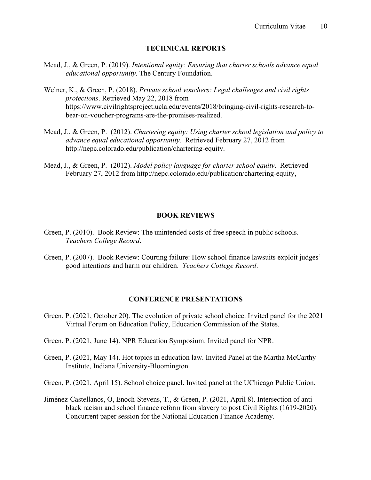### **TECHNICAL REPORTS**

- Mead, J., & Green, P. (2019). *Intentional equity: Ensuring that charter schools advance equal educational opportunity*. The Century Foundation.
- Welner, K., & Green, P. (2018). *Private school vouchers: Legal challenges and civil rights protections*. Retrieved May 22, 2018 from https://www.civilrightsproject.ucla.edu/events/2018/bringing-civil-rights-research-tobear-on-voucher-programs-are-the-promises-realized.
- Mead, J., & Green, P. (2012). *Chartering equity: Using charter school legislation and policy to advance equal educational opportunity.* Retrieved February 27, 2012 from http://nepc.colorado.edu/publication/chartering-equity.
- Mead, J., & Green, P. (2012). *Model policy language for charter school equity*. Retrieved February 27, 2012 from http://nepc.colorado.edu/publication/chartering-equity,

#### **BOOK REVIEWS**

- Green, P. (2010). Book Review: The unintended costs of free speech in public schools. *Teachers College Record*.
- Green, P. (2007). Book Review: Courting failure: How school finance lawsuits exploit judges' good intentions and harm our children. *Teachers College Record*.

### **CONFERENCE PRESENTATIONS**

- Green, P. (2021, October 20). The evolution of private school choice. Invited panel for the 2021 Virtual Forum on Education Policy, Education Commission of the States.
- Green, P. (2021, June 14). NPR Education Symposium. Invited panel for NPR.
- Green, P. (2021, May 14). Hot topics in education law. Invited Panel at the Martha McCarthy Institute, Indiana University-Bloomington.
- Green, P. (2021, April 15). School choice panel. Invited panel at the UChicago Public Union.
- Jiménez-Castellanos, O, Enoch-Stevens, T., & Green, P. (2021, April 8). Intersection of antiblack racism and school finance reform from slavery to post Civil Rights (1619-2020). Concurrent paper session for the National Education Finance Academy.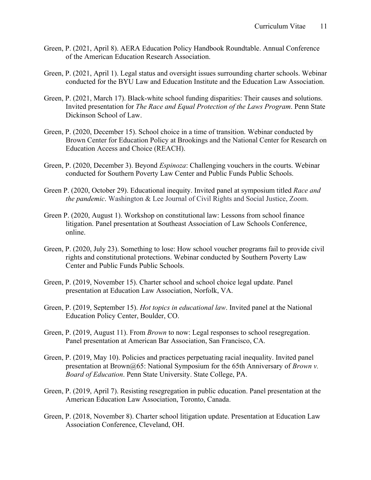- Green, P. (2021, April 8). AERA Education Policy Handbook Roundtable. Annual Conference of the American Education Research Association.
- Green, P. (2021, April 1). Legal status and oversight issues surrounding charter schools. Webinar conducted for the BYU Law and Education Institute and the Education Law Association.
- Green, P. (2021, March 17). Black-white school funding disparities: Their causes and solutions. Invited presentation for *The Race and Equal Protection of the Laws Program*. Penn State Dickinson School of Law.
- Green, P. (2020, December 15). School choice in a time of transition. Webinar conducted by Brown Center for Education Policy at Brookings and the National Center for Research on Education Access and Choice (REACH).
- Green, P. (2020, December 3). Beyond *Espinoza*: Challenging vouchers in the courts. Webinar conducted for Southern Poverty Law Center and Public Funds Public Schools.
- Green P. (2020, October 29). Educational inequity. Invited panel at symposium titled *Race and the pandemic*. Washington & Lee Journal of Civil Rights and Social Justice, Zoom.
- Green P. (2020, August 1). Workshop on constitutional law: Lessons from school finance litigation. Panel presentation at Southeast Association of Law Schools Conference, online.
- Green, P. (2020, July 23). Something to lose: How school voucher programs fail to provide civil rights and constitutional protections. Webinar conducted by Southern Poverty Law Center and Public Funds Public Schools.
- Green, P. (2019, November 15). Charter school and school choice legal update. Panel presentation at Education Law Association, Norfolk, VA.
- Green, P. (2019, September 15). *Hot topics in educational law*. Invited panel at the National Education Policy Center, Boulder, CO.
- Green, P. (2019, August 11). From *Brown* to now: Legal responses to school resegregation. Panel presentation at American Bar Association, San Francisco, CA.
- Green, P. (2019, May 10). Policies and practices perpetuating racial inequality. Invited panel presentation at Brown@65: National Symposium for the 65th Anniversary of *Brown v. Board of Education*. Penn State University. State College, PA.
- Green, P. (2019, April 7). Resisting resegregation in public education. Panel presentation at the American Education Law Association, Toronto, Canada.
- Green, P. (2018, November 8). Charter school litigation update. Presentation at Education Law Association Conference, Cleveland, OH.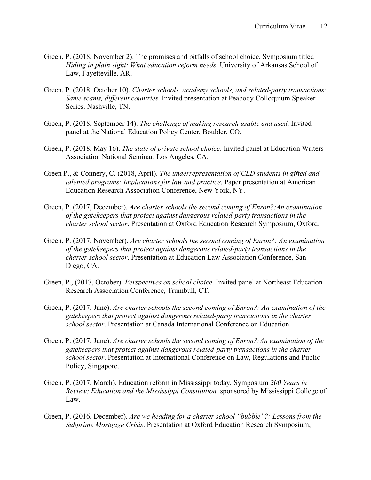- Green, P. (2018, November 2). The promises and pitfalls of school choice. Symposium titled *Hiding in plain sight: What education reform needs*. University of Arkansas School of Law, Fayetteville, AR.
- Green, P. (2018, October 10). *Charter schools, academy schools, and related-party transactions: Same scams, different countries*. Invited presentation at Peabody Colloquium Speaker Series. Nashville, TN.
- Green, P. (2018, September 14). *The challenge of making research usable and used*. Invited panel at the National Education Policy Center, Boulder, CO.
- Green, P. (2018, May 16). *The state of private school choice*. Invited panel at Education Writers Association National Seminar. Los Angeles, CA.
- Green P., & Connery, C. (2018, April). *The underrepresentation of CLD students in gifted and talented programs: Implications for law and practice*. Paper presentation at American Education Research Association Conference, New York, NY.
- Green, P. (2017, December). *Are charter schools the second coming of Enron?:An examination of the gatekeepers that protect against dangerous related-party transactions in the charter school sector*. Presentation at Oxford Education Research Symposium, Oxford.
- Green, P. (2017, November). *Are charter schools the second coming of Enron?: An examination of the gatekeepers that protect against dangerous related-party transactions in the charter school sector*. Presentation at Education Law Association Conference, San Diego, CA.
- Green, P., (2017, October). *Perspectives on school choice*. Invited panel at Northeast Education Research Association Conference, Trumbull, CT.
- Green, P. (2017, June). *Are charter schools the second coming of Enron?: An examination of the gatekeepers that protect against dangerous related-party transactions in the charter school sector*. Presentation at Canada International Conference on Education.
- Green, P. (2017, June). *Are charter schools the second coming of Enron?:An examination of the gatekeepers that protect against dangerous related-party transactions in the charter school sector*. Presentation at International Conference on Law, Regulations and Public Policy, Singapore.
- Green, P. (2017, March). Education reform in Mississippi today*.* Symposium *200 Years in Review: Education and the Mississippi Constitution,* sponsored by Mississippi College of Law.
- Green, P. (2016, December). *Are we heading for a charter school "bubble"?: Lessons from the Subprime Mortgage Crisis*. Presentation at Oxford Education Research Symposium,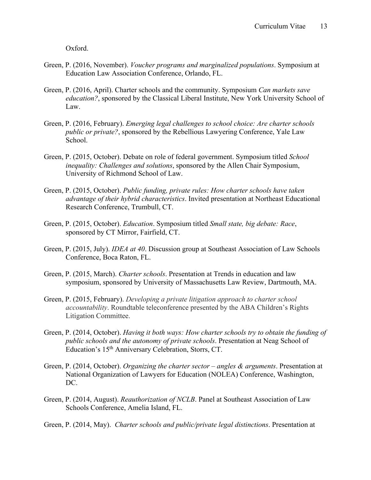Oxford.

- Green, P. (2016, November). *Voucher programs and marginalized populations*. Symposium at Education Law Association Conference, Orlando, FL.
- Green, P. (2016, April). Charter schools and the community. Symposium *Can markets save education?*, sponsored by the Classical Liberal Institute, New York University School of Law.
- Green, P. (2016, February). *Emerging legal challenges to school choice: Are charter schools public or private?*, sponsored by the Rebellious Lawyering Conference, Yale Law School.
- Green, P. (2015, October). Debate on role of federal government. Symposium titled *School inequality: Challenges and solutions*, sponsored by the Allen Chair Symposium, University of Richmond School of Law.
- Green, P. (2015, October). *Public funding, private rules: How charter schools have taken advantage of their hybrid characteristics*. Invited presentation at Northeast Educational Research Conference, Trumbull, CT.
- Green, P. (2015, October). *Education*. Symposium titled *Small state, big debate: Race*, sponsored by CT Mirror, Fairfield, CT.
- Green, P. (2015, July). *IDEA at 40*. Discussion group at Southeast Association of Law Schools Conference, Boca Raton, FL.
- Green, P. (2015, March). *Charter schools*. Presentation at Trends in education and law symposium, sponsored by University of Massachusetts Law Review, Dartmouth, MA.
- Green, P. (2015, February). *Developing a private litigation approach to charter school accountability*. Roundtable teleconference presented by the ABA Children's Rights Litigation Committee.
- Green, P. (2014, October). *Having it both ways: How charter schools try to obtain the funding of public schools and the autonomy of private schools*. Presentation at Neag School of Education's 15th Anniversary Celebration, Storrs, CT.
- Green, P. (2014, October). *Organizing the charter sector – angles & arguments*. Presentation at National Organization of Lawyers for Education (NOLEA) Conference, Washington, DC.
- Green, P. (2014, August). *Reauthorization of NCLB*. Panel at Southeast Association of Law Schools Conference, Amelia Island, FL.
- Green, P. (2014, May). *Charter schools and public/private legal distinctions*. Presentation at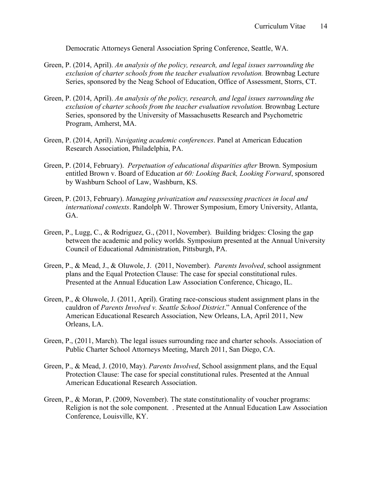Democratic Attorneys General Association Spring Conference, Seattle, WA.

- Green, P. (2014, April). *An analysis of the policy, research, and legal issues surrounding the exclusion of charter schools from the teacher evaluation revolution.* Brownbag Lecture Series, sponsored by the Neag School of Education, Office of Assessment, Storrs, CT.
- Green, P. (2014, April). *An analysis of the policy, research, and legal issues surrounding the exclusion of charter schools from the teacher evaluation revolution.* Brownbag Lecture Series, sponsored by the University of Massachusetts Research and Psychometric Program, Amherst, MA.
- Green, P. (2014, April). *Navigating academic conferences*. Panel at American Education Research Association, Philadelphia, PA.
- Green, P. (2014, February). *Perpetuation of educational disparities after* Brown. Symposium entitled Brown v. Board of Education *at 60: Looking Back, Looking Forward*, sponsored by Washburn School of Law, Washburn, KS.
- Green, P. (2013, February). *Managing privatization and reassessing practices in local and international contexts*. Randolph W. Thrower Symposium, Emory University, Atlanta, GA.
- Green, P., Lugg, C., & Rodriguez, G., (2011, November). Building bridges: Closing the gap between the academic and policy worlds. Symposium presented at the Annual University Council of Educational Administration, Pittsburgh, PA.
- Green, P., & Mead, J., & Oluwole, J. (2011, November). *Parents Involved*, school assignment plans and the Equal Protection Clause: The case for special constitutional rules. Presented at the Annual Education Law Association Conference, Chicago, IL.
- Green, P., & Oluwole, J. (2011, April). Grating race-conscious student assignment plans in the cauldron of *Parents Involved v. Seattle School District*." Annual Conference of the American Educational Research Association, New Orleans, LA, April 2011, New Orleans, LA.
- Green, P., (2011, March). The legal issues surrounding race and charter schools. Association of Public Charter School Attorneys Meeting, March 2011, San Diego, CA.
- Green, P., & Mead, J. (2010, May). *Parents Involved*, School assignment plans, and the Equal Protection Clause: The case for special constitutional rules. Presented at the Annual American Educational Research Association.
- Green, P., & Moran, P. (2009, November). The state constitutionality of voucher programs: Religion is not the sole component. . Presented at the Annual Education Law Association Conference, Louisville, KY.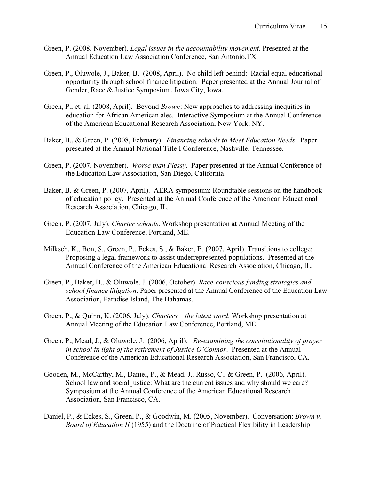- Green, P. (2008, November). *Legal issues in the accountability movement*. Presented at the Annual Education Law Association Conference, San Antonio,TX.
- Green, P., Oluwole, J., Baker, B. (2008, April). No child left behind: Racial equal educational opportunity through school finance litigation. Paper presented at the Annual Journal of Gender, Race & Justice Symposium, Iowa City, Iowa.
- Green, P., et. al. (2008, April). Beyond *Brown*: New approaches to addressing inequities in education for African American ales. Interactive Symposium at the Annual Conference of the American Educational Research Association, New York, NY.
- Baker, B., & Green, P. (2008, February). *Financing schools to Meet Education Needs*. Paper presented at the Annual National Title I Conference, Nashville, Tennessee.
- Green, P. (2007, November). *Worse than Plessy*. Paper presented at the Annual Conference of the Education Law Association, San Diego, California.
- Baker, B. & Green, P. (2007, April). AERA symposium: Roundtable sessions on the handbook of education policy. Presented at the Annual Conference of the American Educational Research Association, Chicago, IL.
- Green, P. (2007, July). *Charter schools*. Workshop presentation at Annual Meeting of the Education Law Conference, Portland, ME.
- Milksch, K., Bon, S., Green, P., Eckes, S., & Baker, B. (2007, April). Transitions to college: Proposing a legal framework to assist underrepresented populations. Presented at the Annual Conference of the American Educational Research Association, Chicago, IL.
- Green, P., Baker, B., & Oluwole, J. (2006, October). *Race-conscious funding strategies and school finance litigation*. Paper presented at the Annual Conference of the Education Law Association, Paradise Island, The Bahamas.
- Green, P., & Quinn, K. (2006, July). *Charters – the latest word*. Workshop presentation at Annual Meeting of the Education Law Conference, Portland, ME.
- Green, P., Mead, J., & Oluwole, J. (2006, April). *Re-examining the constitutionality of prayer in school in light of the retirement of Justice O'Connor*. Presented at the Annual Conference of the American Educational Research Association, San Francisco, CA.
- Gooden, M., McCarthy, M., Daniel, P., & Mead, J., Russo, C., & Green, P. (2006, April). School law and social justice: What are the current issues and why should we care? Symposium at the Annual Conference of the American Educational Research Association, San Francisco, CA.
- Daniel, P., & Eckes, S., Green, P., & Goodwin, M. (2005, November). Conversation: *Brown v. Board of Education II* (1955) and the Doctrine of Practical Flexibility in Leadership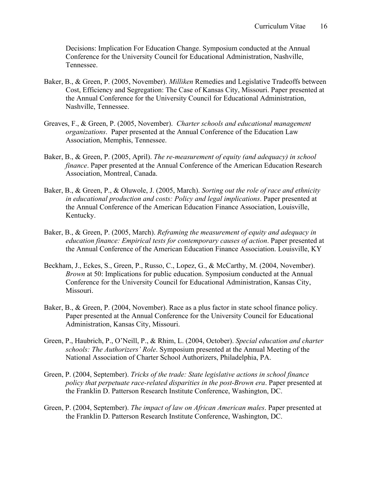Decisions: Implication For Education Change. Symposium conducted at the Annual Conference for the University Council for Educational Administration, Nashville, Tennessee.

- Baker, B., & Green, P. (2005, November). *Milliken* Remedies and Legislative Tradeoffs between Cost, Efficiency and Segregation: The Case of Kansas City, Missouri. Paper presented at the Annual Conference for the University Council for Educational Administration, Nashville, Tennessee.
- Greaves, F., & Green, P. (2005, November). *Charter schools and educational management organizations*. Paper presented at the Annual Conference of the Education Law Association, Memphis, Tennessee.
- Baker, B., & Green, P. (2005, April). *The re-measurement of equity (and adequacy) in school finance*. Paper presented at the Annual Conference of the American Education Research Association, Montreal, Canada.
- Baker, B., & Green, P., & Oluwole, J. (2005, March). *Sorting out the role of race and ethnicity in educational production and costs: Policy and legal implications*. Paper presented at the Annual Conference of the American Education Finance Association, Louisville, Kentucky.
- Baker, B., & Green, P. (2005, March). *Reframing the measurement of equity and adequacy in education finance: Empirical tests for contemporary causes of action*. Paper presented at the Annual Conference of the American Education Finance Association. Louisville, KY
- Beckham, J., Eckes, S., Green, P., Russo, C., Lopez, G., & McCarthy, M. (2004, November). *Brown* at 50: Implications for public education. Symposium conducted at the Annual Conference for the University Council for Educational Administration, Kansas City, Missouri.
- Baker, B., & Green, P. (2004, November). Race as a plus factor in state school finance policy. Paper presented at the Annual Conference for the University Council for Educational Administration, Kansas City, Missouri.
- Green, P., Haubrich, P., O'Neill, P., & Rhim, L. (2004, October). *Special education and charter schools: The Authorizers' Role*. Symposium presented at the Annual Meeting of the National Association of Charter School Authorizers, Philadelphia, PA.
- Green, P. (2004, September). *Tricks of the trade: State legislative actions in school finance policy that perpetuate race-related disparities in the post-Brown era*. Paper presented at the Franklin D. Patterson Research Institute Conference, Washington, DC.
- Green, P. (2004, September). *The impact of law on African American males*. Paper presented at the Franklin D. Patterson Research Institute Conference, Washington, DC.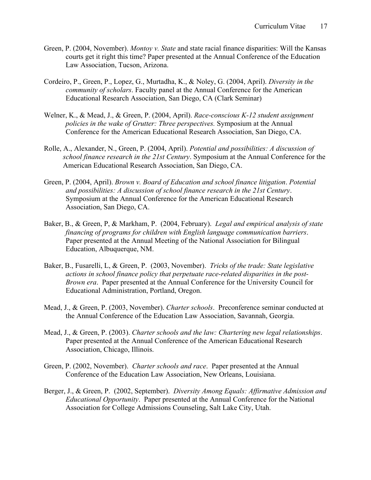- Green, P. (2004, November). *Montoy v. State* and state racial finance disparities: Will the Kansas courts get it right this time? Paper presented at the Annual Conference of the Education Law Association, Tucson, Arizona.
- Cordeiro, P., Green, P., Lopez, G., Murtadha, K., & Noley, G. (2004, April). *Diversity in the community of scholars*. Faculty panel at the Annual Conference for the American Educational Research Association, San Diego, CA (Clark Seminar)
- Welner, K., & Mead, J., & Green, P. (2004, April). *Race-conscious K-12 student assignment policies in the wake of Grutter: Three perspectives.* Symposium at the Annual Conference for the American Educational Research Association, San Diego, CA.
- Rolle, A., Alexander, N., Green, P. (2004, April). *Potential and possibilities: A discussion of school finance research in the 21st Century*. Symposium at the Annual Conference for the American Educational Research Association, San Diego, CA.
- Green, P. (2004, April). *Brown v. Board of Education and school finance litigation*. *Potential and possibilities: A discussion of school finance research in the 21st Century*. Symposium at the Annual Conference for the American Educational Research Association, San Diego, CA.
- Baker, B., & Green, P, & Markham, P. (2004, February). *Legal and empirical analysis of state financing of programs for children with English language communication barriers*. Paper presented at the Annual Meeting of the National Association for Bilingual Education, Albuquerque, NM.
- Baker, B., Fusarelli, L, & Green, P. (2003, November). *Tricks of the trade: State legislative actions in school finance policy that perpetuate race-related disparities in the post-Brown era*. Paper presented at the Annual Conference for the University Council for Educational Administration, Portland, Oregon.
- Mead, J., & Green, P. (2003, November). *Charter schools*. Preconference seminar conducted at the Annual Conference of the Education Law Association, Savannah, Georgia.
- Mead, J., & Green, P. (2003). *Charter schools and the law: Chartering new legal relationships*. Paper presented at the Annual Conference of the American Educational Research Association, Chicago, Illinois.
- Green, P. (2002, November). *Charter schools and race*. Paper presented at the Annual Conference of the Education Law Association, New Orleans, Louisiana.
- Berger, J., & Green, P. (2002, September). *Diversity Among Equals: Affirmative Admission and Educational Opportunity*. Paper presented at the Annual Conference for the National Association for College Admissions Counseling, Salt Lake City, Utah.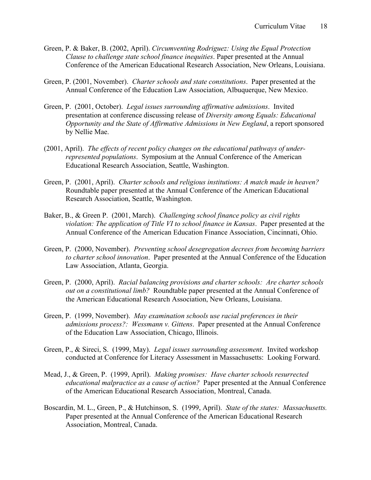- Green, P. & Baker, B. (2002, April). *Circumventing Rodriguez: Using the Equal Protection Clause to challenge state school finance inequities*. Paper presented at the Annual Conference of the American Educational Research Association, New Orleans, Louisiana.
- Green, P. (2001, November). *Charter schools and state constitutions*. Paper presented at the Annual Conference of the Education Law Association, Albuquerque, New Mexico.
- Green, P. (2001, October). *Legal issues surrounding affirmative admissions*. Invited presentation at conference discussing release of *Diversity among Equals: Educational Opportunity and the State of Affirmative Admissions in New England*, a report sponsored by Nellie Mae.
- (2001, April). *The effects of recent policy changes on the educational pathways of underrepresented populations*. Symposium at the Annual Conference of the American Educational Research Association, Seattle, Washington.
- Green, P. (2001, April). *Charter schools and religious institutions: A match made in heaven?* Roundtable paper presented at the Annual Conference of the American Educational Research Association, Seattle, Washington.
- Baker, B., & Green P. (2001, March). *Challenging school finance policy as civil rights violation: The application of Title VI to school finance in Kansas*. Paper presented at the Annual Conference of the American Education Finance Association, Cincinnati, Ohio.
- Green, P. (2000, November). *Preventing school desegregation decrees from becoming barriers to charter school innovation*. Paper presented at the Annual Conference of the Education Law Association, Atlanta, Georgia.
- Green, P. (2000, April). *Racial balancing provisions and charter schools: Are charter schools out on a constitutional limb?* Roundtable paper presented at the Annual Conference of the American Educational Research Association, New Orleans, Louisiana.
- Green, P. (1999, November). *May examination schools use racial preferences in their admissions process?: Wessmann v. Gittens*. Paper presented at the Annual Conference of the Education Law Association, Chicago, Illinois.
- Green, P., & Sireci, S. (1999, May). *Legal issues surrounding assessment*. Invited workshop conducted at Conference for Literacy Assessment in Massachusetts: Looking Forward.
- Mead, J., & Green, P. (1999, April). *Making promises: Have charter schools resurrected educational malpractice as a cause of action?* Paper presented at the Annual Conference of the American Educational Research Association, Montreal, Canada.
- Boscardin, M. L., Green, P., & Hutchinson, S. (1999, April). *State of the states: Massachusetts.* Paper presented at the Annual Conference of the American Educational Research Association, Montreal, Canada.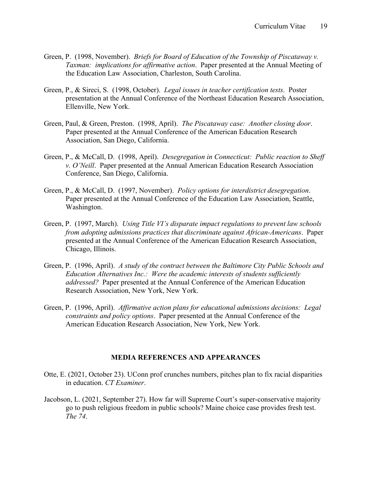- Green, P. (1998, November). *Briefs for Board of Education of the Township of Piscataway v. Taxman: implications for affirmative action*. Paper presented at the Annual Meeting of the Education Law Association, Charleston, South Carolina.
- Green, P., & Sireci, S. (1998, October). *Legal issues in teacher certification tests*. Poster presentation at the Annual Conference of the Northeast Education Research Association, Ellenville, New York.
- Green, Paul, & Green, Preston. (1998, April). *The Piscataway case: Another closing door*. Paper presented at the Annual Conference of the American Education Research Association, San Diego, California.
- Green, P., & McCall, D. (1998, April). *Desegregation in Connecticut: Public reaction to Sheff v. O'Neill*. Paper presented at the Annual American Education Research Association Conference, San Diego, California.
- Green, P., & McCall, D. (1997, November). *Policy options for interdistrict desegregation*. Paper presented at the Annual Conference of the Education Law Association, Seattle, Washington.
- Green, P. (1997, March). *Using Title VI's disparate impact regulations to prevent law schools from adopting admissions practices that discriminate against African-Americans*. Paper presented at the Annual Conference of the American Education Research Association, Chicago, Illinois.
- Green, P. (1996, April). *A study of the contract between the Baltimore City Public Schools and Education Alternatives Inc.: Were the academic interests of students sufficiently addressed?* Paper presented at the Annual Conference of the American Education Research Association, New York, New York.
- Green, P. (1996, April). *Affirmative action plans for educational admissions decisions: Legal constraints and policy options*. Paper presented at the Annual Conference of the American Education Research Association, New York, New York.

## **MEDIA REFERENCES AND APPEARANCES**

- Otte, E. (2021, October 23). UConn prof crunches numbers, pitches plan to fix racial disparities in education. *CT Examiner*.
- Jacobson, L. (2021, September 27). How far will Supreme Court's super-conservative majority go to push religious freedom in public schools? Maine choice case provides fresh test. *The 74*.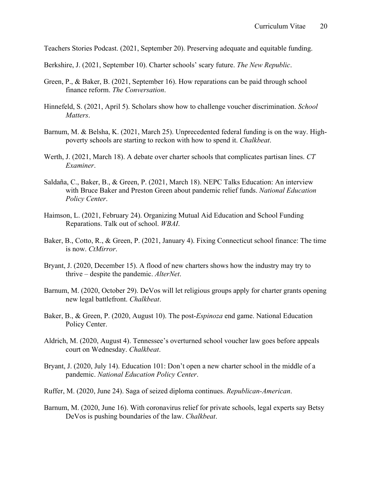Teachers Stories Podcast. (2021, September 20). Preserving adequate and equitable funding.

Berkshire, J. (2021, September 10). Charter schools' scary future. *The New Republic*.

- Green, P., & Baker, B. (2021, September 16). How reparations can be paid through school finance reform. *The Conversation*.
- Hinnefeld, S. (2021, April 5). Scholars show how to challenge voucher discrimination. *School Matters*.
- Barnum, M. & Belsha, K. (2021, March 25). Unprecedented federal funding is on the way. Highpoverty schools are starting to reckon with how to spend it. *Chalkbeat*.
- Werth, J. (2021, March 18). A debate over charter schools that complicates partisan lines. *CT Examiner*.
- Saldaña, C., Baker, B., & Green, P. (2021, March 18). NEPC Talks Education: An interview with Bruce Baker and Preston Green about pandemic relief funds. *National Education Policy Center*.
- Haimson, L. (2021, February 24). Organizing Mutual Aid Education and School Funding Reparations. Talk out of school. *WBAI*.
- Baker, B., Cotto, R., & Green, P. (2021, January 4). Fixing Connecticut school finance: The time is now. *CtMirror*.
- Bryant, J. (2020, December 15). A flood of new charters shows how the industry may try to thrive – despite the pandemic. *AlterNet*.
- Barnum, M. (2020, October 29). DeVos will let religious groups apply for charter grants opening new legal battlefront. *Chalkbeat*.
- Baker, B., & Green, P. (2020, August 10). The post-*Espinoza* end game. National Education Policy Center.
- Aldrich, M. (2020, August 4). Tennessee's overturned school voucher law goes before appeals court on Wednesday. *Chalkbeat*.
- Bryant, J. (2020, July 14). Education 101: Don't open a new charter school in the middle of a pandemic. *National Education Policy Center*.
- Ruffer, M. (2020, June 24). Saga of seized diploma continues. *Republican-American*.
- Barnum, M. (2020, June 16). With coronavirus relief for private schools, legal experts say Betsy DeVos is pushing boundaries of the law. *Chalkbeat*.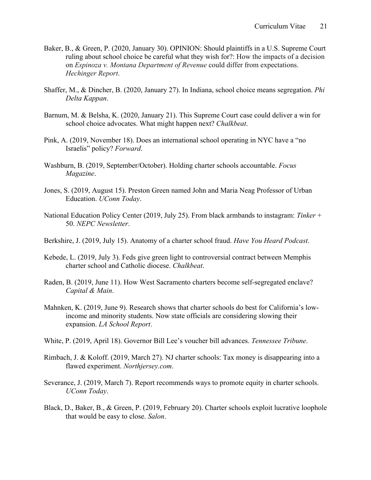- Baker, B., & Green, P. (2020, January 30). OPINION: Should plaintiffs in a U.S. Supreme Court ruling about school choice be careful what they wish for?: How the impacts of a decision on *Espinoza v. Montana Department of Revenue* could differ from expectations. *Hechinger Report*.
- Shaffer, M., & Dincher, B. (2020, January 27). In Indiana, school choice means segregation. *Phi Delta Kappan*.
- Barnum, M. & Belsha, K. (2020, January 21). This Supreme Court case could deliver a win for school choice advocates. What might happen next? *Chalkbeat*.
- Pink, A. (2019, November 18). Does an international school operating in NYC have a "no Israelis" policy? *Forward*.
- Washburn, B. (2019, September/October). Holding charter schools accountable. *Focus Magazine*.
- Jones, S. (2019, August 15). Preston Green named John and Maria Neag Professor of Urban Education. *UConn Today*.
- National Education Policy Center (2019, July 25). From black armbands to instagram: *Tinker* + 50. *NEPC Newsletter*.
- Berkshire, J. (2019, July 15). Anatomy of a charter school fraud. *Have You Heard Podcast*.
- Kebede, L. (2019, July 3). Feds give green light to controversial contract between Memphis charter school and Catholic diocese. *Chalkbeat*.
- Raden, B. (2019, June 11). How West Sacramento charters become self-segregated enclave? *Capital & Main*.
- Mahnken, K. (2019, June 9). Research shows that charter schools do best for California's lowincome and minority students. Now state officials are considering slowing their expansion. *LA School Report*.
- White, P. (2019, April 18). Governor Bill Lee's voucher bill advances. *Tennessee Tribune*.
- Rimbach, J. & Koloff. (2019, March 27). NJ charter schools: Tax money is disappearing into a flawed experiment. *Northjersey.com*.
- Severance, J. (2019, March 7). Report recommends ways to promote equity in charter schools. *UConn Today*.
- Black, D., Baker, B., & Green, P. (2019, February 20). Charter schools exploit lucrative loophole that would be easy to close. *Salon*.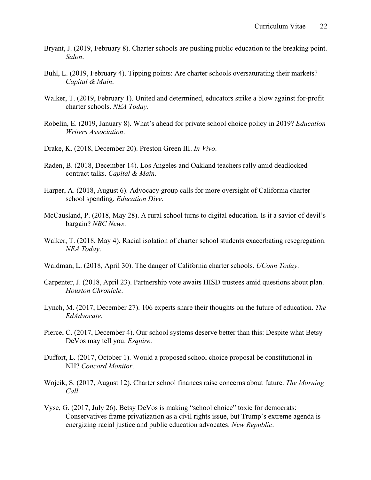- Bryant, J. (2019, February 8). Charter schools are pushing public education to the breaking point. *Salon*.
- Buhl, L. (2019, February 4). Tipping points: Are charter schools oversaturating their markets? *Capital & Main*.
- Walker, T. (2019, February 1). United and determined, educators strike a blow against for-profit charter schools. *NEA Today*.
- Robelin, E. (2019, January 8). What's ahead for private school choice policy in 2019? *Education Writers Association*.
- Drake, K. (2018, December 20). Preston Green III. *In Vivo*.
- Raden, B. (2018, December 14). Los Angeles and Oakland teachers rally amid deadlocked contract talks. *Capital & Main*.
- Harper, A. (2018, August 6). Advocacy group calls for more oversight of California charter school spending. *Education Dive*.
- McCausland, P. (2018, May 28). A rural school turns to digital education. Is it a savior of devil's bargain? *NBC News*.
- Walker, T. (2018, May 4). Racial isolation of charter school students exacerbating resegregation. *NEA Today*.
- Waldman, L. (2018, April 30). The danger of California charter schools. *UConn Today*.
- Carpenter, J. (2018, April 23). Partnership vote awaits HISD trustees amid questions about plan. *Houston Chronicle*.
- Lynch, M. (2017, December 27). 106 experts share their thoughts on the future of education. *The EdAdvocate*.
- Pierce, C. (2017, December 4). Our school systems deserve better than this: Despite what Betsy DeVos may tell you. *Esquire*.
- Duffort, L. (2017, October 1). Would a proposed school choice proposal be constitutional in NH? *Concord Monitor*.
- Wojcik, S. (2017, August 12). Charter school finances raise concerns about future. *The Morning Call*.
- Vyse, G. (2017, July 26). Betsy DeVos is making "school choice" toxic for democrats: Conservatives frame privatization as a civil rights issue, but Trump's extreme agenda is energizing racial justice and public education advocates. *New Republic*.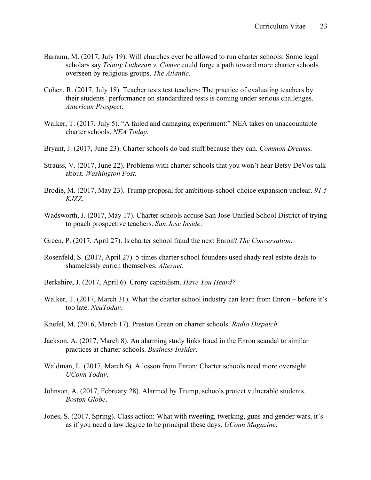- Barnum, M. (2017, July 19). Will churches ever be allowed to run charter schools: Some legal scholars say *Trinity Lutheran v. Comer* could forge a path toward more charter schools overseen by religious groups. *The Atlantic*.
- Cohen, R. (2017, July 18). Teacher tests test teachers: The practice of evaluating teachers by their students' performance on standardized tests is coming under serious challenges. *American Prospect*.
- Walker, T. (2017, July 5). "A failed and damaging experiment:" NEA takes on unaccountable charter schools. *NEA Today*.
- Bryant, J. (2017, June 23). Charter schools do bad stuff because they can. *Common Dreams.*
- Strauss, V. (2017, June 22). Problems with charter schools that you won't hear Betsy DeVos talk about. *Washington Post.*
- Brodie, M. (2017, May 23). Trump proposal for ambitious school-choice expansion unclear. *91.5 KJZZ*.
- Wadsworth, J. (2017, May 17). Charter schools accuse San Jose Unified School District of trying to poach prospective teachers. *San Jose Inside*.
- Green, P. (2017, April 27). Is charter school fraud the next Enron? *The Conversation*.
- Rosenfeld, S. (2017, April 27). 5 times charter school founders used shady real estate deals to shamelessly enrich themselves. *Alternet*.
- Berkshire, J. (2017, April 6). Crony capitalism. *Have You Heard?*
- Walker, T. (2017, March 31). What the charter school industry can learn from Enron before it's too late. *NeaToday*.
- Knefel, M. (2016, March 17). Preston Green on charter schools. *Radio Dispatch*.
- Jackson, A. (2017, March 8). An alarming study links fraud in the Enron scandal to similar practices at charter schools. *Business Insider*.
- Waldman, L. (2017, March 6). A lesson from Enron: Charter schools need more oversight. *UConn Today*.
- Johnson, A. (2017, February 28). Alarmed by Trump, schools protect vulnerable students. *Boston Globe*.
- Jones, S. (2017, Spring). Class action: What with tweeting, twerking, guns and gender wars, it's as if you need a law degree to be principal these days. *UConn Magazine*.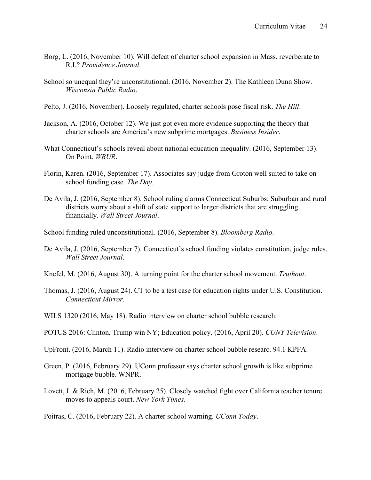- Borg, L. (2016, November 10). Will defeat of charter school expansion in Mass. reverberate to R.I.? *Providence Journal*.
- School so unequal they're unconstitutional. (2016, November 2). The Kathleen Dunn Show. *Wisconsin Public Radio*.
- Pelto, J. (2016, November). Loosely regulated, charter schools pose fiscal risk. *The Hill*.
- Jackson, A. (2016, October 12). We just got even more evidence supporting the theory that charter schools are America's new subprime mortgages. *Business Insider*.
- What Connecticut's schools reveal about national education inequality. (2016, September 13). On Point. *WBUR*.
- Florin, Karen. (2016, September 17). Associates say judge from Groton well suited to take on school funding case. *The Day*.
- De Avila, J. (2016, September 8). School ruling alarms Connecticut Suburbs: Suburban and rural districts worry about a shift of state support to larger districts that are struggling financially. *Wall Street Journal*.
- School funding ruled unconstitutional. (2016, September 8). *Bloomberg Radio*.
- De Avila, J. (2016, September 7). Connecticut's school funding violates constitution, judge rules. *Wall Street Journal*.
- Knefel, M. (2016, August 30). A turning point for the charter school movement. *Truthout*.
- Thomas, J. (2016, August 24). CT to be a test case for education rights under U.S. Constitution. *Connecticut Mirror*.
- WILS 1320 (2016, May 18). Radio interview on charter school bubble research.
- POTUS 2016: Clinton, Trump win NY; Education policy. (2016, April 20). *CUNY Television*.
- UpFront. (2016, March 11). Radio interview on charter school bubble researc. 94.1 KPFA.
- Green, P. (2016, February 29). UConn professor says charter school growth is like subprime mortgage bubble. WNPR.
- Lovett, I. & Rich, M. (2016, February 25). Closely watched fight over California teacher tenure moves to appeals court. *New York Times*.

Poitras, C. (2016, February 22). A charter school warning. *UConn Today*.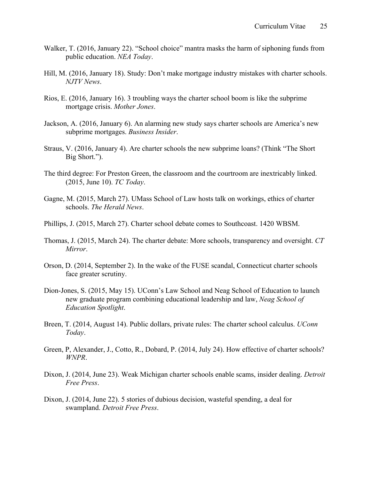- Walker, T. (2016, January 22). "School choice" mantra masks the harm of siphoning funds from public education. *NEA Today*.
- Hill, M. (2016, January 18). Study: Don't make mortgage industry mistakes with charter schools. *NJTV News*.
- Rios, E. (2016, January 16). 3 troubling ways the charter school boom is like the subprime mortgage crisis. *Mother Jones*.
- Jackson, A. (2016, January 6). An alarming new study says charter schools are America's new subprime mortgages. *Business Insider*.
- Straus, V. (2016, January 4). Are charter schools the new subprime loans? (Think "The Short Big Short.").
- The third degree: For Preston Green, the classroom and the courtroom are inextricably linked. (2015, June 10). *TC Today*.
- Gagne, M. (2015, March 27). UMass School of Law hosts talk on workings, ethics of charter schools. *The Herald News*.
- Phillips, J. (2015, March 27). Charter school debate comes to Southcoast. 1420 WBSM.
- Thomas, J. (2015, March 24). The charter debate: More schools, transparency and oversight. *CT Mirror*.
- Orson, D. (2014, September 2). In the wake of the FUSE scandal, Connecticut charter schools face greater scrutiny.
- Dion-Jones, S. (2015, May 15). UConn's Law School and Neag School of Education to launch new graduate program combining educational leadership and law, *Neag School of Education Spotlight*.
- Breen, T. (2014, August 14). Public dollars, private rules: The charter school calculus. *UConn Today*.
- Green, P, Alexander, J., Cotto, R., Dobard, P. (2014, July 24). How effective of charter schools? *WNPR*.
- Dixon, J. (2014, June 23). Weak Michigan charter schools enable scams, insider dealing. *Detroit Free Press*.
- Dixon, J. (2014, June 22). 5 stories of dubious decision, wasteful spending, a deal for swampland. *Detroit Free Press*.